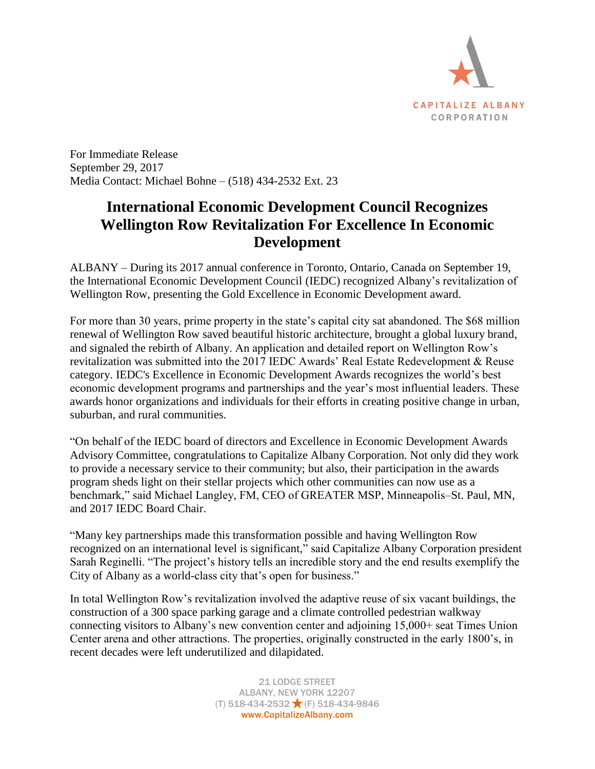

For Immediate Release September 29, 2017 Media Contact: Michael Bohne – (518) 434-2532 Ext. 23

## **International Economic Development Council Recognizes Wellington Row Revitalization For Excellence In Economic Development**

ALBANY – During its 2017 annual conference in Toronto, Ontario, Canada on September 19, the International Economic Development Council (IEDC) recognized Albany's revitalization of Wellington Row, presenting the Gold Excellence in Economic Development award.

For more than 30 years, prime property in the state's capital city sat abandoned. The \$68 million renewal of Wellington Row saved beautiful historic architecture, brought a global luxury brand, and signaled the rebirth of Albany. An application and detailed report on Wellington Row's revitalization was submitted into the 2017 IEDC Awards' Real Estate Redevelopment & Reuse category. IEDC's Excellence in Economic Development Awards recognizes the world's best economic development programs and partnerships and the year's most influential leaders. These awards honor organizations and individuals for their efforts in creating positive change in urban, suburban, and rural communities.

"On behalf of the IEDC board of directors and Excellence in Economic Development Awards Advisory Committee, congratulations to Capitalize Albany Corporation. Not only did they work to provide a necessary service to their community; but also, their participation in the awards program sheds light on their stellar projects which other communities can now use as a benchmark," said Michael Langley, FM, CEO of GREATER MSP, Minneapolis–St. Paul, MN, and 2017 IEDC Board Chair.

"Many key partnerships made this transformation possible and having Wellington Row recognized on an international level is significant," said Capitalize Albany Corporation president Sarah Reginelli. "The project's history tells an incredible story and the end results exemplify the City of Albany as a world-class city that's open for business."

In total Wellington Row's revitalization involved the adaptive reuse of six vacant buildings, the construction of a 300 space parking garage and a climate controlled pedestrian walkway connecting visitors to Albany's new convention center and adjoining 15,000+ seat Times Union Center arena and other attractions. The properties, originally constructed in the early 1800's, in recent decades were left underutilized and dilapidated.

> 21 LODGE STREET ALBANY, NEW YORK 12207  $(T)$  518-434-2532  $\bigstar$  (F) 518-434-9846 www.CapitalizeAlbany.com